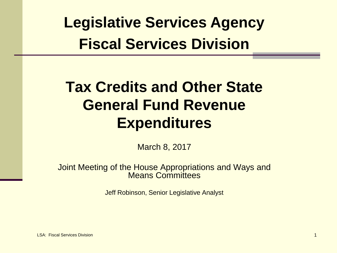**Legislative Services Agency Fiscal Services Division**

# **Tax Credits and Other State General Fund Revenue Expenditures**

March 8, 2017

Joint Meeting of the House Appropriations and Ways and Means Committees

Jeff Robinson, Senior Legislative Analyst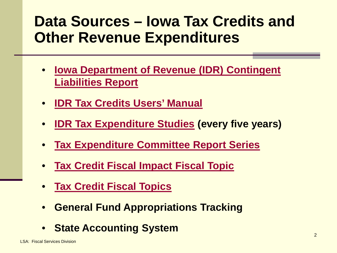# **Data Sources – Iowa Tax Credits and Other Revenue Expenditures**

- **[Iowa Department of Revenue \(IDR\) Contingent](https://tax.iowa.gov/report/Contingent-Liabilities)  [Liabilities Report](https://tax.iowa.gov/report/Contingent-Liabilities)**
- **[IDR Tax Credits Users' Manual](https://tax.iowa.gov/report/Background?combine=Users%20Manual)**
- **[IDR Tax Expenditure Studies](https://tax.iowa.gov/report/Tax-Expenditures) (every five years)**
- **[Tax Expenditure Committee Report Series](https://tax.iowa.gov/report/Evaluations?combine=Study)**
- **[Tax Credit Fiscal Impact Fiscal Topic](https://www.legis.iowa.gov/docs/publications/FTNO/705460.pdf)**
- **[Tax Credit Fiscal Topics](https://www.legis.iowa.gov/publications/fiscal/fiscalTopics)**
- **General Fund Appropriations Tracking**
- **State Accounting System**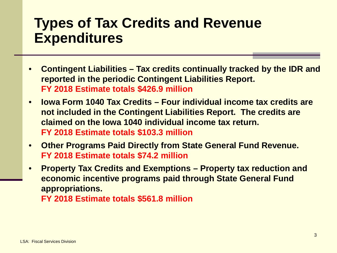#### **Types of Tax Credits and Revenue Expenditures**

- **Contingent Liabilities – Tax credits continually tracked by the IDR and reported in the periodic Contingent Liabilities Report. FY 2018 Estimate totals \$426.9 million**
- **Iowa Form 1040 Tax Credits – Four individual income tax credits are not included in the Contingent Liabilities Report. The credits are claimed on the Iowa 1040 individual income tax return. FY 2018 Estimate totals \$103.3 million**
- **Other Programs Paid Directly from State General Fund Revenue. FY 2018 Estimate totals \$74.2 million**
- **Property Tax Credits and Exemptions – Property tax reduction and economic incentive programs paid through State General Fund appropriations.**

**FY 2018 Estimate totals \$561.8 million**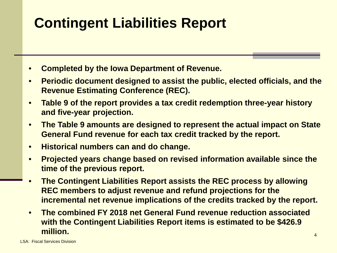# **Contingent Liabilities Report**

- **Completed by the Iowa Department of Revenue.**
- **Periodic document designed to assist the public, elected officials, and the Revenue Estimating Conference (REC).**
- **Table 9 of the report provides a tax credit redemption three-year history and five-year projection.**
- **The Table 9 amounts are designed to represent the actual impact on State General Fund revenue for each tax credit tracked by the report.**
- **Historical numbers can and do change.**
- **Projected years change based on revised information available since the time of the previous report.**
- **The Contingent Liabilities Report assists the REC process by allowing REC members to adjust revenue and refund projections for the incremental net revenue implications of the credits tracked by the report.**
- **The combined FY 2018 net General Fund revenue reduction associated with the Contingent Liabilities Report items is estimated to be \$426.9 million.**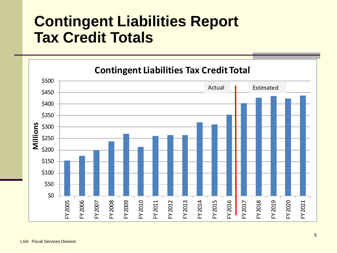# **Contingent Liabilities Report Tax Credit Totals**

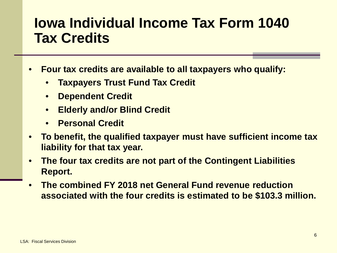### **Iowa Individual Income Tax Form 1040 Tax Credits**

- **Four tax credits are available to all taxpayers who qualify:**
	- **Taxpayers Trust Fund Tax Credit**
	- **Dependent Credit**
	- **Elderly and/or Blind Credit**
	- **Personal Credit**
- **To benefit, the qualified taxpayer must have sufficient income tax liability for that tax year.**
- **The four tax credits are not part of the Contingent Liabilities Report.**
- **The combined FY 2018 net General Fund revenue reduction associated with the four credits is estimated to be \$103.3 million.**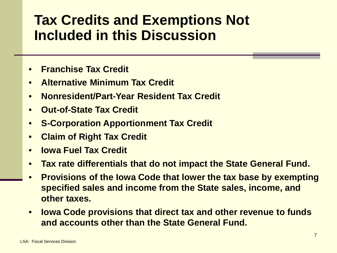## **Tax Credits and Exemptions Not Included in this Discussion**

- **Franchise Tax Credit**
- **Alternative Minimum Tax Credit**
- **Nonresident/Part-Year Resident Tax Credit**
- **Out-of-State Tax Credit**
- **S-Corporation Apportionment Tax Credit**
- **Claim of Right Tax Credit**
- **Iowa Fuel Tax Credit**
- **Tax rate differentials that do not impact the State General Fund.**
- **Provisions of the Iowa Code that lower the tax base by exempting specified sales and income from the State sales, income, and other taxes.**
- **Iowa Code provisions that direct tax and other revenue to funds and accounts other than the State General Fund.**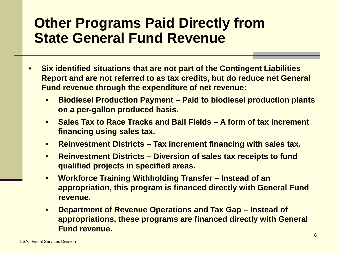## **Other Programs Paid Directly from State General Fund Revenue**

- **Six identified situations that are not part of the Contingent Liabilities Report and are not referred to as tax credits, but do reduce net General Fund revenue through the expenditure of net revenue:**
	- **Biodiesel Production Payment – Paid to biodiesel production plants on a per-gallon produced basis.**
	- **Sales Tax to Race Tracks and Ball Fields – A form of tax increment financing using sales tax.**
	- **Reinvestment Districts – Tax increment financing with sales tax.**
	- **Reinvestment Districts – Diversion of sales tax receipts to fund qualified projects in specified areas.**
	- **Workforce Training Withholding Transfer – Instead of an appropriation, this program is financed directly with General Fund revenue.**
	- **Department of Revenue Operations and Tax Gap – Instead of appropriations, these programs are financed directly with General Fund revenue.**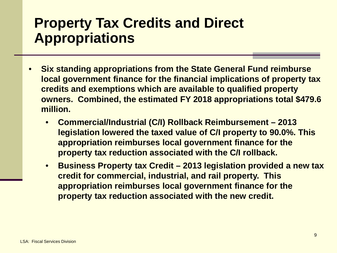## **Property Tax Credits and Direct Appropriations**

- **Six standing appropriations from the State General Fund reimburse local government finance for the financial implications of property tax credits and exemptions which are available to qualified property owners. Combined, the estimated FY 2018 appropriations total \$479.6 million.**
	- **Commercial/Industrial (C/I) Rollback Reimbursement – 2013 legislation lowered the taxed value of C/I property to 90.0%. This appropriation reimburses local government finance for the property tax reduction associated with the C/I rollback.**
	- **Business Property tax Credit – 2013 legislation provided a new tax credit for commercial, industrial, and rail property. This appropriation reimburses local government finance for the property tax reduction associated with the new credit.**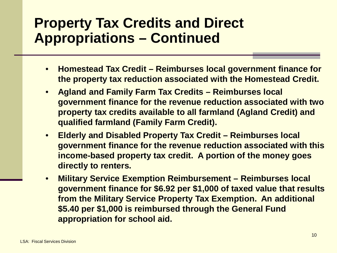## **Property Tax Credits and Direct Appropriations – Continued**

- **Homestead Tax Credit – Reimburses local government finance for the property tax reduction associated with the Homestead Credit.**
- **Agland and Family Farm Tax Credits – Reimburses local government finance for the revenue reduction associated with two property tax credits available to all farmland (Agland Credit) and qualified farmland (Family Farm Credit).**
- **Elderly and Disabled Property Tax Credit – Reimburses local government finance for the revenue reduction associated with this income-based property tax credit. A portion of the money goes directly to renters.**
- **Military Service Exemption Reimbursement – Reimburses local government finance for \$6.92 per \$1,000 of taxed value that results from the Military Service Property Tax Exemption. An additional \$5.40 per \$1,000 is reimbursed through the General Fund appropriation for school aid.**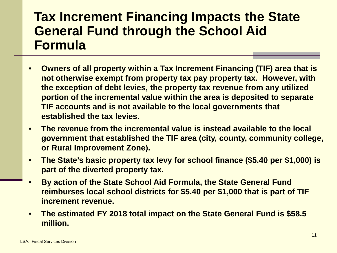#### **Tax Increment Financing Impacts the State General Fund through the School Aid Formula**

- **Owners of all property within a Tax Increment Financing (TIF) area that is not otherwise exempt from property tax pay property tax. However, with the exception of debt levies, the property tax revenue from any utilized portion of the incremental value within the area is deposited to separate TIF accounts and is not available to the local governments that established the tax levies.**
- **The revenue from the incremental value is instead available to the local government that established the TIF area (city, county, community college, or Rural Improvement Zone).**
- **The State's basic property tax levy for school finance (\$5.40 per \$1,000) is part of the diverted property tax.**
- **By action of the State School Aid Formula, the State General Fund reimburses local school districts for \$5.40 per \$1,000 that is part of TIF increment revenue.**
- **The estimated FY 2018 total impact on the State General Fund is \$58.5 million.**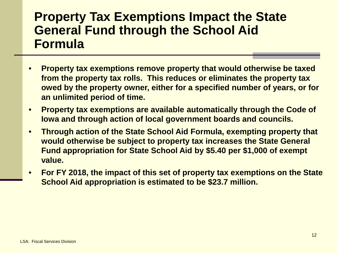#### **Property Tax Exemptions Impact the State General Fund through the School Aid Formula**

- **Property tax exemptions remove property that would otherwise be taxed from the property tax rolls. This reduces or eliminates the property tax owed by the property owner, either for a specified number of years, or for an unlimited period of time.**
- **Property tax exemptions are available automatically through the Code of Iowa and through action of local government boards and councils.**
- **Through action of the State School Aid Formula, exempting property that would otherwise be subject to property tax increases the State General Fund appropriation for State School Aid by \$5.40 per \$1,000 of exempt value.**
- **For FY 2018, the impact of this set of property tax exemptions on the State School Aid appropriation is estimated to be \$23.7 million.**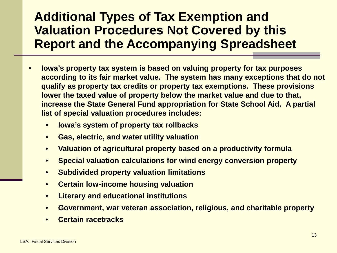#### **Additional Types of Tax Exemption and Valuation Procedures Not Covered by this Report and the Accompanying Spreadsheet**

- **Iowa's property tax system is based on valuing property for tax purposes according to its fair market value. The system has many exceptions that do not qualify as property tax credits or property tax exemptions. These provisions lower the taxed value of property below the market value and due to that, increase the State General Fund appropriation for State School Aid. A partial list of special valuation procedures includes:** 
	- **Iowa's system of property tax rollbacks**
	- **Gas, electric, and water utility valuation**
	- **Valuation of agricultural property based on a productivity formula**
	- **Special valuation calculations for wind energy conversion property**
	- **Subdivided property valuation limitations**
	- **Certain low-income housing valuation**
	- **Literary and educational institutions**
	- **Government, war veteran association, religious, and charitable property**
	- **Certain racetracks**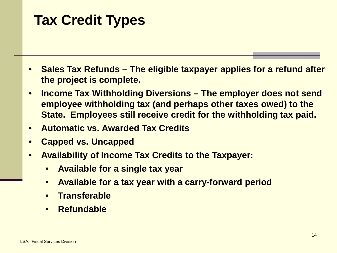# **Tax Credit Types**

- **Sales Tax Refunds – The eligible taxpayer applies for a refund after the project is complete.**
- **Income Tax Withholding Diversions – The employer does not send employee withholding tax (and perhaps other taxes owed) to the State. Employees still receive credit for the withholding tax paid.**
- **Automatic vs. Awarded Tax Credits**
- **Capped vs. Uncapped**
- **Availability of Income Tax Credits to the Taxpayer:**
	- **Available for a single tax year**
	- **Available for a tax year with a carry-forward period**
	- **Transferable**
	- **Refundable**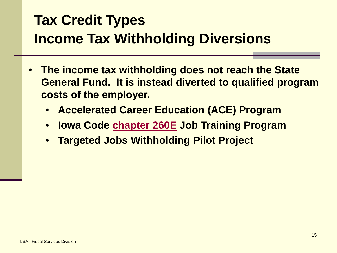# **Tax Credit Types Income Tax Withholding Diversions**

- **The income tax withholding does not reach the State General Fund. It is instead diverted to qualified program costs of the employer.** 
	- **Accelerated Career Education (ACE) Program**
	- **Iowa Code [chapter 260E](https://www.legis.iowa.gov/docs/code/260e.pdf) Job Training Program**
	- **Targeted Jobs Withholding Pilot Project**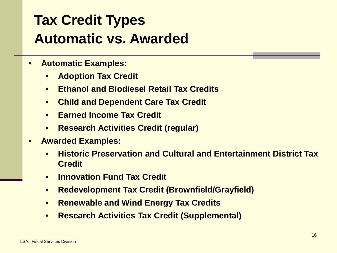# **Tax Credit Types Automatic vs. Awarded**

- **Automatic Examples:**
	- **Adoption Tax Credit**
	- **Ethanol and Biodiesel Retail Tax Credits**
	- **Child and Dependent Care Tax Credit**
	- **Earned Income Tax Credit**
	- **Research Activities Credit (regular)**
- **Awarded Examples:**
	- **Historic Preservation and Cultural and Entertainment District Tax Credit**
	- **Innovation Fund Tax Credit**
	- **Redevelopment Tax Credit (Brownfield/Grayfield)**
	- **Renewable and Wind Energy Tax Credits**
	- **Research Activities Tax Credit (Supplemental)**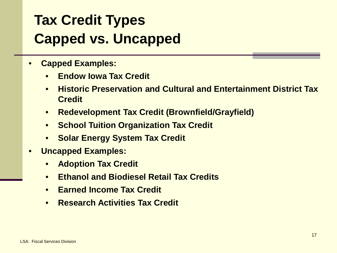# **Tax Credit Types Capped vs. Uncapped**

- **Capped Examples:**
	- **Endow Iowa Tax Credit**
	- **Historic Preservation and Cultural and Entertainment District Tax Credit**
	- **Redevelopment Tax Credit (Brownfield/Grayfield)**
	- **School Tuition Organization Tax Credit**
	- **Solar Energy System Tax Credit**
- **Uncapped Examples:**
	- **Adoption Tax Credit**
	- **Ethanol and Biodiesel Retail Tax Credits**
	- **Earned Income Tax Credit**
	- **Research Activities Tax Credit**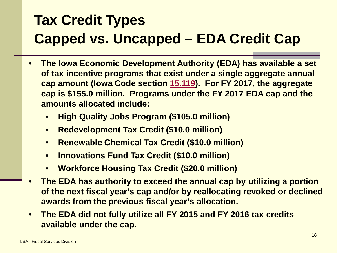# **Tax Credit Types Capped vs. Uncapped – EDA Credit Cap**

- **The Iowa Economic Development Authority (EDA) has available a set of tax incentive programs that exist under a single aggregate annual cap amount (Iowa Code section [15.119](https://www.legis.iowa.gov/docs/code/15.119.pdf)). For FY 2017, the aggregate cap is \$155.0 million. Programs under the FY 2017 EDA cap and the amounts allocated include:**
	- **High Quality Jobs Program (\$105.0 million)**
	- **Redevelopment Tax Credit (\$10.0 million)**
	- **Renewable Chemical Tax Credit (\$10.0 million)**
	- **Innovations Fund Tax Credit (\$10.0 million)**
	- **Workforce Housing Tax Credit (\$20.0 million)**
- **The EDA has authority to exceed the annual cap by utilizing a portion of the next fiscal year's cap and/or by reallocating revoked or declined awards from the previous fiscal year's allocation.**
- **The EDA did not fully utilize all FY 2015 and FY 2016 tax credits available under the cap.**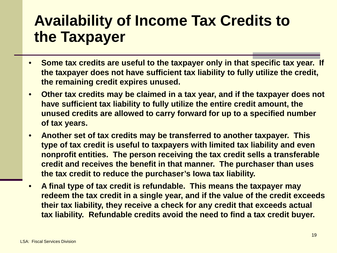# **Availability of Income Tax Credits to the Taxpayer**

- **Some tax credits are useful to the taxpayer only in that specific tax year. If the taxpayer does not have sufficient tax liability to fully utilize the credit, the remaining credit expires unused.**
- **Other tax credits may be claimed in a tax year, and if the taxpayer does not have sufficient tax liability to fully utilize the entire credit amount, the unused credits are allowed to carry forward for up to a specified number of tax years.**
- **Another set of tax credits may be transferred to another taxpayer. This type of tax credit is useful to taxpayers with limited tax liability and even nonprofit entities. The person receiving the tax credit sells a transferable credit and receives the benefit in that manner. The purchaser than uses the tax credit to reduce the purchaser's Iowa tax liability.**
- **A final type of tax credit is refundable. This means the taxpayer may redeem the tax credit in a single year, and if the value of the credit exceeds their tax liability, they receive a check for any credit that exceeds actual tax liability. Refundable credits avoid the need to find a tax credit buyer.**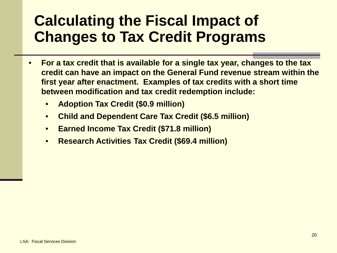- **For a tax credit that is available for a single tax year, changes to the tax credit can have an impact on the General Fund revenue stream within the first year after enactment. Examples of tax credits with a short time between modification and tax credit redemption include:**
	- **Adoption Tax Credit (\$0.9 million)**
	- **Child and Dependent Care Tax Credit (\$6.5 million)**
	- **Earned Income Tax Credit (\$71.8 million)**
	- **Research Activities Tax Credit (\$69.4 million)**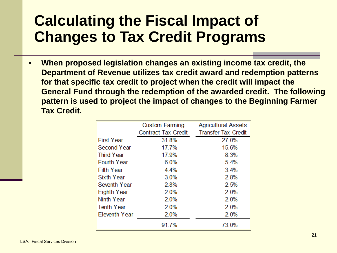• **When proposed legislation changes an existing income tax credit, the Department of Revenue utilizes tax credit award and redemption patterns for that specific tax credit to project when the credit will impact the General Fund through the redemption of the awarded credit. The following pattern is used to project the impact of changes to the Beginning Farmer Tax Credit.** 

|                    | <b>Agricultural Assets</b><br><b>Custom Farming</b> |                            |
|--------------------|-----------------------------------------------------|----------------------------|
|                    | <b>Contract Tax Credit</b>                          | <b>Transfer Tax Credit</b> |
| <b>First Year</b>  | 31.8%                                               | 27.0%                      |
| Second Year        | 17.7%                                               | 15.6%                      |
| Third Year         | 17.9%                                               | 8.3%                       |
| <b>Fourth Year</b> | 6.0%                                                | 5.4%                       |
| Fifth Year         | 4.4%                                                | 3.4%                       |
| Sixth Year         | 3.0%                                                | 2.8%                       |
| Seventh Year       | 2.8%                                                | 2.5%                       |
| Eighth Year        | 2.0%                                                | 2.0%                       |
| Ninth Year         | 2.0%                                                | 2.0%                       |
| Tenth Year         | 2.0%                                                | 2.0%                       |
| Eleventh Year      | 2.0%                                                | 2.0%                       |
|                    | 91.7%                                               | 73.0%                      |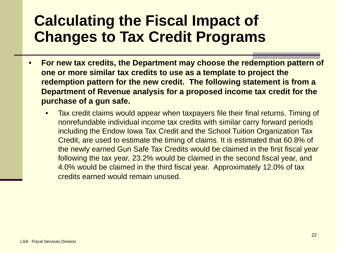- **For new tax credits, the Department may choose the redemption pattern of one or more similar tax credits to use as a template to project the redemption pattern for the new credit. The following statement is from a Department of Revenue analysis for a proposed income tax credit for the purchase of a gun safe.**
	- Tax credit claims would appear when taxpayers file their final returns. Timing of nonrefundable individual income tax credits with similar carry forward periods including the Endow Iowa Tax Credit and the School Tuition Organization Tax Credit, are used to estimate the timing of claims. It is estimated that 60.8% of the newly earned Gun Safe Tax Credits would be claimed in the first fiscal year following the tax year, 23.2% would be claimed in the second fiscal year, and 4.0% would be claimed in the third fiscal year. Approximately 12.0% of tax credits earned would remain unused.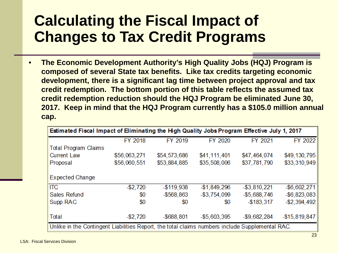• **The Economic Development Authority's High Quality Jobs (HQJ) Program is composed of several State tax benefits. Like tax credits targeting economic development, there is a significant lag time between project approval and tax credit redemption. The bottom portion of this table reflects the assumed tax credit redemption reduction should the HQJ Program be eliminated June 30, 2017. Keep in mind that the HQJ Program currently has a \$105.0 million annual cap.** 

| Estimated Fiscal Impact of Eliminating the High Quality Jobs Program Effective July 1, 2017     |              |               |               |                 |                 |  |
|-------------------------------------------------------------------------------------------------|--------------|---------------|---------------|-----------------|-----------------|--|
|                                                                                                 | FY 2018      | FY 2019       | FY 2020       | FY 2021         | FY 2022         |  |
| Total Program Claims                                                                            |              |               |               |                 |                 |  |
| <b>Current Law</b>                                                                              | \$56,063,271 | \$54,573,686  | \$41,111,401  | \$47,464,074    | \$49,130,795    |  |
| Proposal                                                                                        | \$56,060,551 | \$53,884,885  | \$35,508,006  | \$37,781,790    | \$33,310,949    |  |
| <b>Expected Change</b>                                                                          |              |               |               |                 |                 |  |
| <b>ITC</b>                                                                                      | $-$ \$2,720  | $-$119,938$   | $-$1,849,296$ | $-$ \$3,810,221 | $-$ \$6,602,271 |  |
| <b>Sales Refund</b>                                                                             | \$0          | $-$568,863$   | $-$3,754,099$ | $-$5,688,746$   | $-$ \$6,823,083 |  |
| Supp RAC                                                                                        | \$0          | \$0           | \$0           | $-$183,317$     | $-$ \$2,394,492 |  |
| Total                                                                                           | $-$2,720$    | $-$ \$688,801 | $-$5,603,395$ | $-$9,682,284$   | $-$15,819,847$  |  |
| Unlike in the Contingent Liabilities Report, the total claims numbers include Supplemental RAC. |              |               |               |                 |                 |  |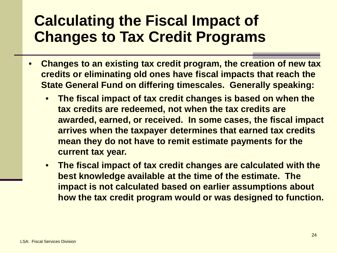- **Changes to an existing tax credit program, the creation of new tax credits or eliminating old ones have fiscal impacts that reach the State General Fund on differing timescales. Generally speaking:**
	- **The fiscal impact of tax credit changes is based on when the tax credits are redeemed, not when the tax credits are awarded, earned, or received. In some cases, the fiscal impact arrives when the taxpayer determines that earned tax credits mean they do not have to remit estimate payments for the current tax year.**
	- **The fiscal impact of tax credit changes are calculated with the best knowledge available at the time of the estimate. The impact is not calculated based on earlier assumptions about how the tax credit program would or was designed to function.**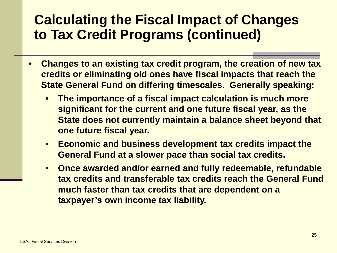- **Changes to an existing tax credit program, the creation of new tax credits or eliminating old ones have fiscal impacts that reach the State General Fund on differing timescales. Generally speaking:**
	- **The importance of a fiscal impact calculation is much more significant for the current and one future fiscal year, as the State does not currently maintain a balance sheet beyond that one future fiscal year.**
	- **Economic and business development tax credits impact the General Fund at a slower pace than social tax credits.**
	- **Once awarded and/or earned and fully redeemable, refundable tax credits and transferable tax credits reach the General Fund much faster than tax credits that are dependent on a taxpayer's own income tax liability.**